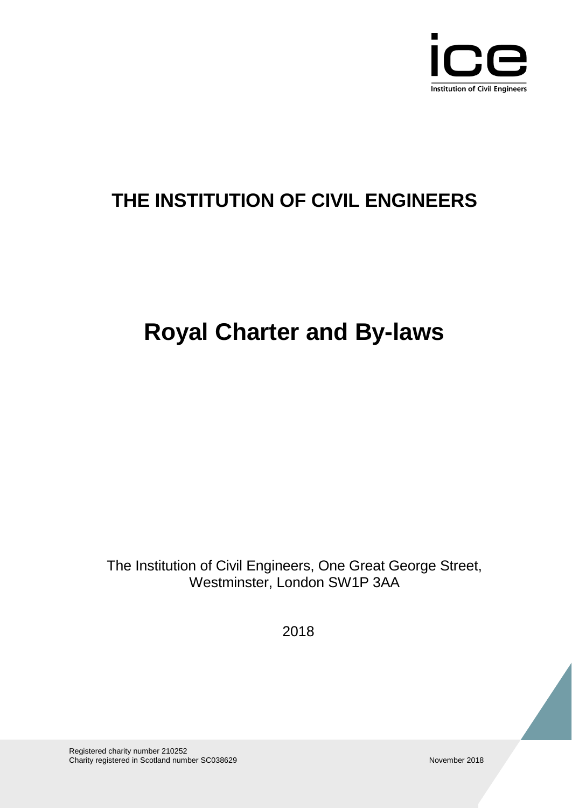

# **THE INSTITUTION OF CIVIL ENGINEERS**

# **Royal Charter and By-laws**

The Institution of Civil Engineers, One Great George Street, Westminster, London SW1P 3AA

2018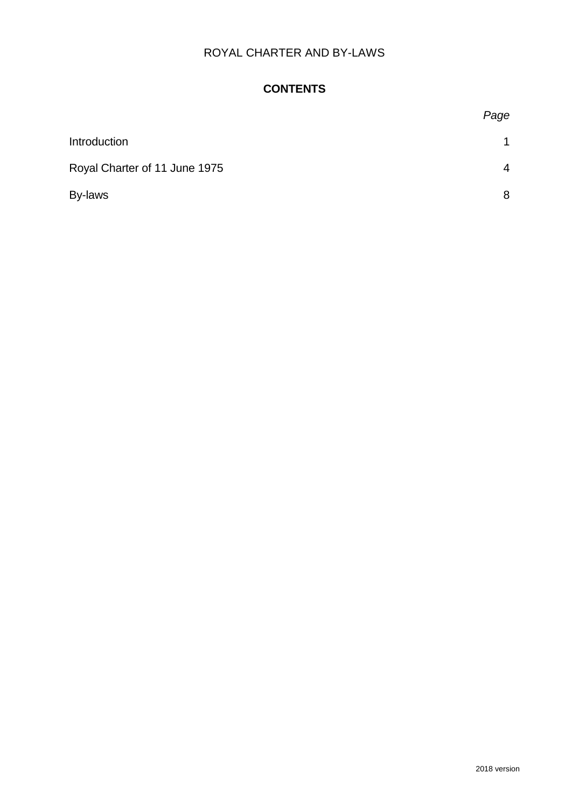# **CONTENTS**

|                               | Page           |
|-------------------------------|----------------|
| Introduction                  |                |
| Royal Charter of 11 June 1975 | $\overline{4}$ |
| By-laws                       | 8              |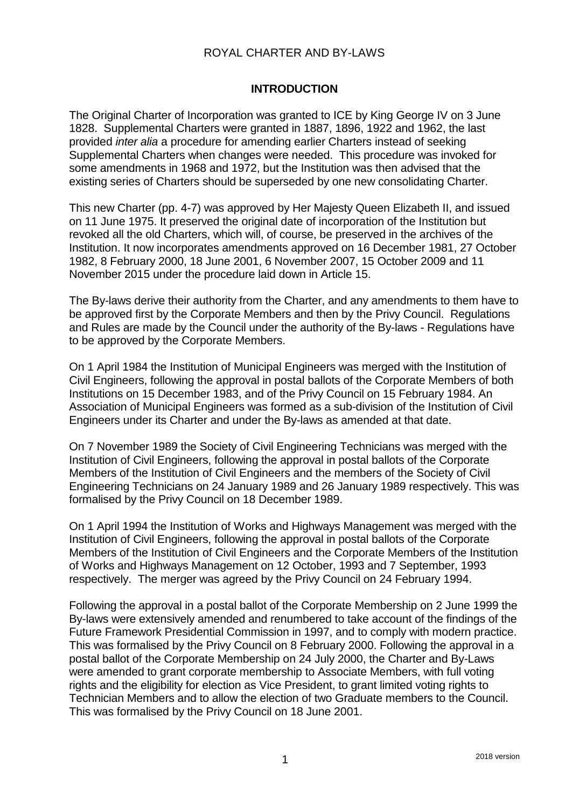#### **INTRODUCTION**

The Original Charter of Incorporation was granted to ICE by King George IV on 3 June 1828. Supplemental Charters were granted in 1887, 1896, 1922 and 1962, the last provided *inter alia* a procedure for amending earlier Charters instead of seeking Supplemental Charters when changes were needed. This procedure was invoked for some amendments in 1968 and 1972, but the Institution was then advised that the existing series of Charters should be superseded by one new consolidating Charter.

This new Charter (pp. 4-7) was approved by Her Majesty Queen Elizabeth II, and issued on 11 June 1975. It preserved the original date of incorporation of the Institution but revoked all the old Charters, which will, of course, be preserved in the archives of the Institution. It now incorporates amendments approved on 16 December 1981, 27 October 1982, 8 February 2000, 18 June 2001, 6 November 2007, 15 October 2009 and 11 November 2015 under the procedure laid down in Article 15.

The By-laws derive their authority from the Charter, and any amendments to them have to be approved first by the Corporate Members and then by the Privy Council. Regulations and Rules are made by the Council under the authority of the By-laws - Regulations have to be approved by the Corporate Members.

On 1 April 1984 the Institution of Municipal Engineers was merged with the Institution of Civil Engineers, following the approval in postal ballots of the Corporate Members of both Institutions on 15 December 1983, and of the Privy Council on 15 February 1984. An Association of Municipal Engineers was formed as a sub-division of the Institution of Civil Engineers under its Charter and under the By-laws as amended at that date.

On 7 November 1989 the Society of Civil Engineering Technicians was merged with the Institution of Civil Engineers, following the approval in postal ballots of the Corporate Members of the Institution of Civil Engineers and the members of the Society of Civil Engineering Technicians on 24 January 1989 and 26 January 1989 respectively. This was formalised by the Privy Council on 18 December 1989.

On 1 April 1994 the Institution of Works and Highways Management was merged with the Institution of Civil Engineers, following the approval in postal ballots of the Corporate Members of the Institution of Civil Engineers and the Corporate Members of the Institution of Works and Highways Management on 12 October, 1993 and 7 September, 1993 respectively. The merger was agreed by the Privy Council on 24 February 1994.

Following the approval in a postal ballot of the Corporate Membership on 2 June 1999 the By-laws were extensively amended and renumbered to take account of the findings of the Future Framework Presidential Commission in 1997, and to comply with modern practice. This was formalised by the Privy Council on 8 February 2000. Following the approval in a postal ballot of the Corporate Membership on 24 July 2000, the Charter and By-Laws were amended to grant corporate membership to Associate Members, with full voting rights and the eligibility for election as Vice President, to grant limited voting rights to Technician Members and to allow the election of two Graduate members to the Council. This was formalised by the Privy Council on 18 June 2001.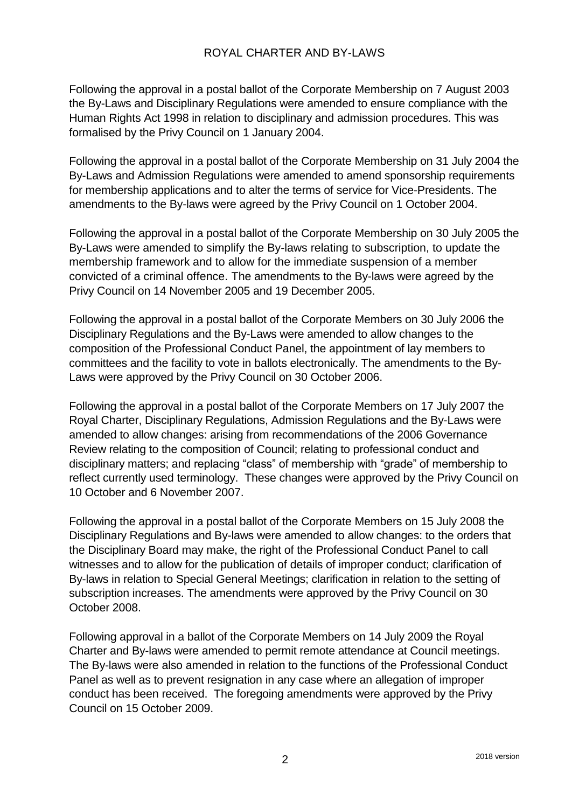Following the approval in a postal ballot of the Corporate Membership on 7 August 2003 the By-Laws and Disciplinary Regulations were amended to ensure compliance with the Human Rights Act 1998 in relation to disciplinary and admission procedures. This was formalised by the Privy Council on 1 January 2004.

Following the approval in a postal ballot of the Corporate Membership on 31 July 2004 the By-Laws and Admission Regulations were amended to amend sponsorship requirements for membership applications and to alter the terms of service for Vice-Presidents. The amendments to the By-laws were agreed by the Privy Council on 1 October 2004.

Following the approval in a postal ballot of the Corporate Membership on 30 July 2005 the By-Laws were amended to simplify the By-laws relating to subscription, to update the membership framework and to allow for the immediate suspension of a member convicted of a criminal offence. The amendments to the By-laws were agreed by the Privy Council on 14 November 2005 and 19 December 2005.

Following the approval in a postal ballot of the Corporate Members on 30 July 2006 the Disciplinary Regulations and the By-Laws were amended to allow changes to the composition of the Professional Conduct Panel, the appointment of lay members to committees and the facility to vote in ballots electronically. The amendments to the By-Laws were approved by the Privy Council on 30 October 2006.

Following the approval in a postal ballot of the Corporate Members on 17 July 2007 the Royal Charter, Disciplinary Regulations, Admission Regulations and the By-Laws were amended to allow changes: arising from recommendations of the 2006 Governance Review relating to the composition of Council; relating to professional conduct and disciplinary matters; and replacing "class" of membership with "grade" of membership to reflect currently used terminology. These changes were approved by the Privy Council on 10 October and 6 November 2007.

Following the approval in a postal ballot of the Corporate Members on 15 July 2008 the Disciplinary Regulations and By-laws were amended to allow changes: to the orders that the Disciplinary Board may make, the right of the Professional Conduct Panel to call witnesses and to allow for the publication of details of improper conduct; clarification of By-laws in relation to Special General Meetings; clarification in relation to the setting of subscription increases. The amendments were approved by the Privy Council on 30 October 2008.

Following approval in a ballot of the Corporate Members on 14 July 2009 the Royal Charter and By-laws were amended to permit remote attendance at Council meetings. The By-laws were also amended in relation to the functions of the Professional Conduct Panel as well as to prevent resignation in any case where an allegation of improper conduct has been received. The foregoing amendments were approved by the Privy Council on 15 October 2009.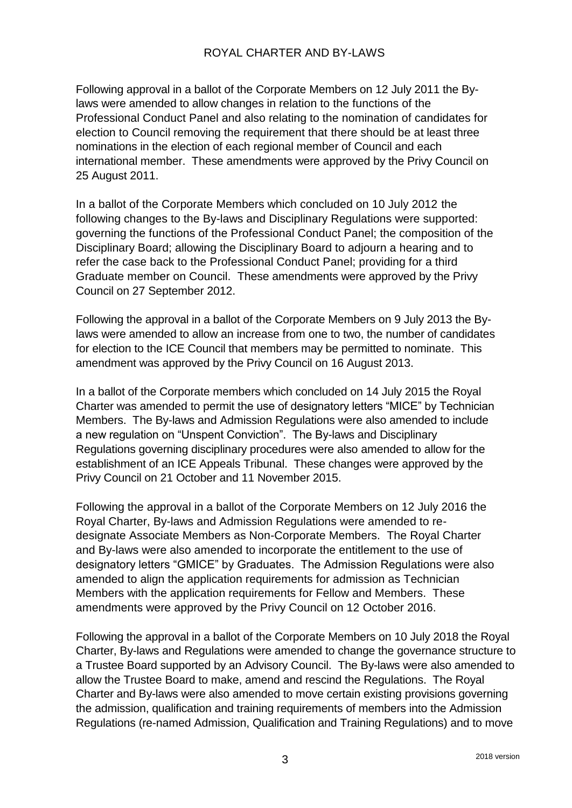Following approval in a ballot of the Corporate Members on 12 July 2011 the Bylaws were amended to allow changes in relation to the functions of the Professional Conduct Panel and also relating to the nomination of candidates for election to Council removing the requirement that there should be at least three nominations in the election of each regional member of Council and each international member. These amendments were approved by the Privy Council on 25 August 2011.

In a ballot of the Corporate Members which concluded on 10 July 2012 the following changes to the By-laws and Disciplinary Regulations were supported: governing the functions of the Professional Conduct Panel; the composition of the Disciplinary Board; allowing the Disciplinary Board to adjourn a hearing and to refer the case back to the Professional Conduct Panel; providing for a third Graduate member on Council. These amendments were approved by the Privy Council on 27 September 2012.

Following the approval in a ballot of the Corporate Members on 9 July 2013 the Bylaws were amended to allow an increase from one to two, the number of candidates for election to the ICE Council that members may be permitted to nominate. This amendment was approved by the Privy Council on 16 August 2013.

In a ballot of the Corporate members which concluded on 14 July 2015 the Royal Charter was amended to permit the use of designatory letters "MICE" by Technician Members. The By-laws and Admission Regulations were also amended to include a new regulation on "Unspent Conviction". The By-laws and Disciplinary Regulations governing disciplinary procedures were also amended to allow for the establishment of an ICE Appeals Tribunal. These changes were approved by the Privy Council on 21 October and 11 November 2015.

Following the approval in a ballot of the Corporate Members on 12 July 2016 the Royal Charter, By-laws and Admission Regulations were amended to redesignate Associate Members as Non-Corporate Members. The Royal Charter and By-laws were also amended to incorporate the entitlement to the use of designatory letters "GMICE" by Graduates. The Admission Regulations were also amended to align the application requirements for admission as Technician Members with the application requirements for Fellow and Members. These amendments were approved by the Privy Council on 12 October 2016.

Following the approval in a ballot of the Corporate Members on 10 July 2018 the Royal Charter, By-laws and Regulations were amended to change the governance structure to a Trustee Board supported by an Advisory Council. The By-laws were also amended to allow the Trustee Board to make, amend and rescind the Regulations. The Royal Charter and By-laws were also amended to move certain existing provisions governing the admission, qualification and training requirements of members into the Admission Regulations (re-named Admission, Qualification and Training Regulations) and to move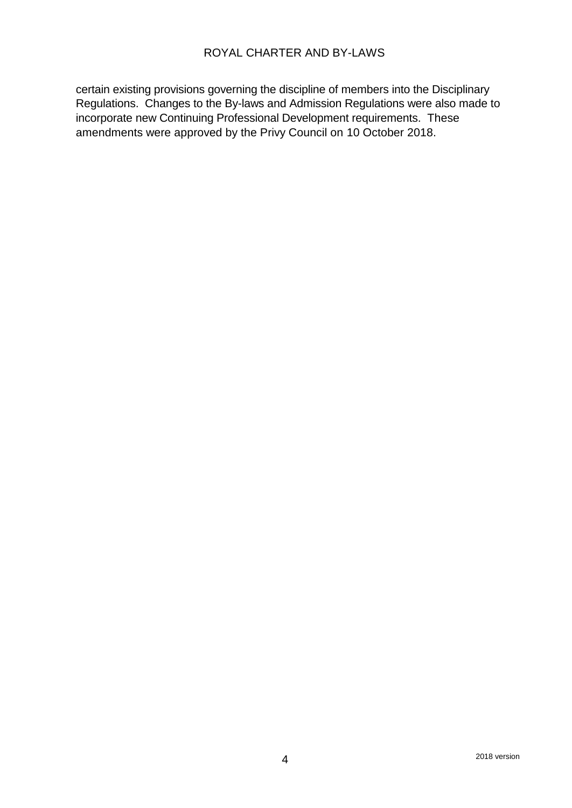certain existing provisions governing the discipline of members into the Disciplinary Regulations. Changes to the By-laws and Admission Regulations were also made to incorporate new Continuing Professional Development requirements. These amendments were approved by the Privy Council on 10 October 2018.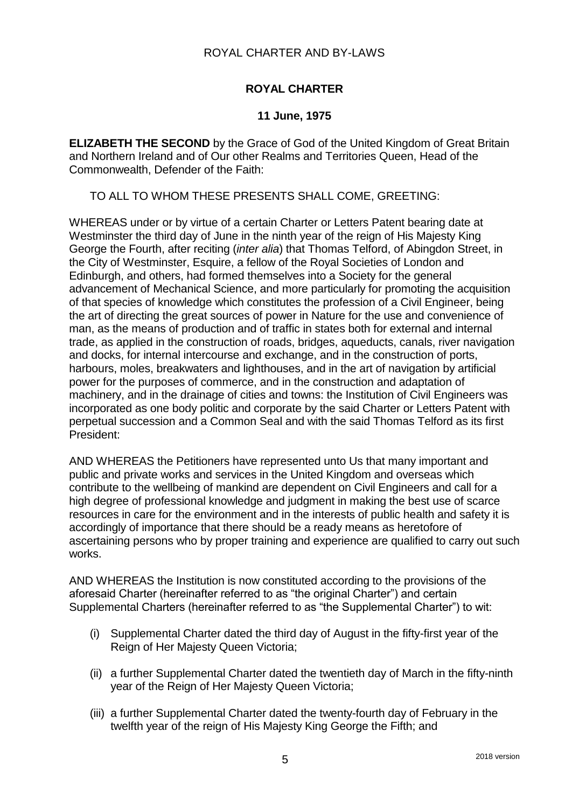### **ROYAL CHARTER**

#### **11 June, 1975**

**ELIZABETH THE SECOND** by the Grace of God of the United Kingdom of Great Britain and Northern Ireland and of Our other Realms and Territories Queen, Head of the Commonwealth, Defender of the Faith:

TO ALL TO WHOM THESE PRESENTS SHALL COME, GREETING:

WHEREAS under or by virtue of a certain Charter or Letters Patent bearing date at Westminster the third day of June in the ninth year of the reign of His Majesty King George the Fourth, after reciting (*inter alia*) that Thomas Telford, of Abingdon Street, in the City of Westminster, Esquire, a fellow of the Royal Societies of London and Edinburgh, and others, had formed themselves into a Society for the general advancement of Mechanical Science, and more particularly for promoting the acquisition of that species of knowledge which constitutes the profession of a Civil Engineer, being the art of directing the great sources of power in Nature for the use and convenience of man, as the means of production and of traffic in states both for external and internal trade, as applied in the construction of roads, bridges, aqueducts, canals, river navigation and docks, for internal intercourse and exchange, and in the construction of ports, harbours, moles, breakwaters and lighthouses, and in the art of navigation by artificial power for the purposes of commerce, and in the construction and adaptation of machinery, and in the drainage of cities and towns: the Institution of Civil Engineers was incorporated as one body politic and corporate by the said Charter or Letters Patent with perpetual succession and a Common Seal and with the said Thomas Telford as its first President:

AND WHEREAS the Petitioners have represented unto Us that many important and public and private works and services in the United Kingdom and overseas which contribute to the wellbeing of mankind are dependent on Civil Engineers and call for a high degree of professional knowledge and judgment in making the best use of scarce resources in care for the environment and in the interests of public health and safety it is accordingly of importance that there should be a ready means as heretofore of ascertaining persons who by proper training and experience are qualified to carry out such works.

AND WHEREAS the Institution is now constituted according to the provisions of the aforesaid Charter (hereinafter referred to as "the original Charter") and certain Supplemental Charters (hereinafter referred to as "the Supplemental Charter") to wit:

- (i) Supplemental Charter dated the third day of August in the fifty-first year of the Reign of Her Majesty Queen Victoria;
- (ii) a further Supplemental Charter dated the twentieth day of March in the fifty-ninth year of the Reign of Her Majesty Queen Victoria;
- (iii) a further Supplemental Charter dated the twenty-fourth day of February in the twelfth year of the reign of His Majesty King George the Fifth; and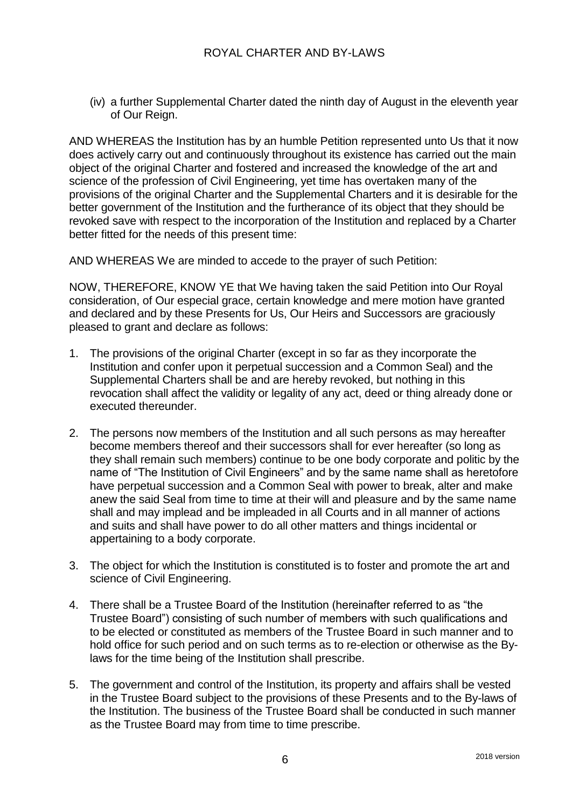(iv) a further Supplemental Charter dated the ninth day of August in the eleventh year of Our Reign.

AND WHEREAS the Institution has by an humble Petition represented unto Us that it now does actively carry out and continuously throughout its existence has carried out the main object of the original Charter and fostered and increased the knowledge of the art and science of the profession of Civil Engineering, yet time has overtaken many of the provisions of the original Charter and the Supplemental Charters and it is desirable for the better government of the Institution and the furtherance of its object that they should be revoked save with respect to the incorporation of the Institution and replaced by a Charter better fitted for the needs of this present time:

AND WHEREAS We are minded to accede to the prayer of such Petition:

NOW, THEREFORE, KNOW YE that We having taken the said Petition into Our Royal consideration, of Our especial grace, certain knowledge and mere motion have granted and declared and by these Presents for Us, Our Heirs and Successors are graciously pleased to grant and declare as follows:

- 1. The provisions of the original Charter (except in so far as they incorporate the Institution and confer upon it perpetual succession and a Common Seal) and the Supplemental Charters shall be and are hereby revoked, but nothing in this revocation shall affect the validity or legality of any act, deed or thing already done or executed thereunder.
- 2. The persons now members of the Institution and all such persons as may hereafter become members thereof and their successors shall for ever hereafter (so long as they shall remain such members) continue to be one body corporate and politic by the name of "The Institution of Civil Engineers" and by the same name shall as heretofore have perpetual succession and a Common Seal with power to break, alter and make anew the said Seal from time to time at their will and pleasure and by the same name shall and may implead and be impleaded in all Courts and in all manner of actions and suits and shall have power to do all other matters and things incidental or appertaining to a body corporate.
- 3. The object for which the Institution is constituted is to foster and promote the art and science of Civil Engineering.
- 4. There shall be a Trustee Board of the Institution (hereinafter referred to as "the Trustee Board") consisting of such number of members with such qualifications and to be elected or constituted as members of the Trustee Board in such manner and to hold office for such period and on such terms as to re-election or otherwise as the Bylaws for the time being of the Institution shall prescribe.
- 5. The government and control of the Institution, its property and affairs shall be vested in the Trustee Board subject to the provisions of these Presents and to the By-laws of the Institution. The business of the Trustee Board shall be conducted in such manner as the Trustee Board may from time to time prescribe.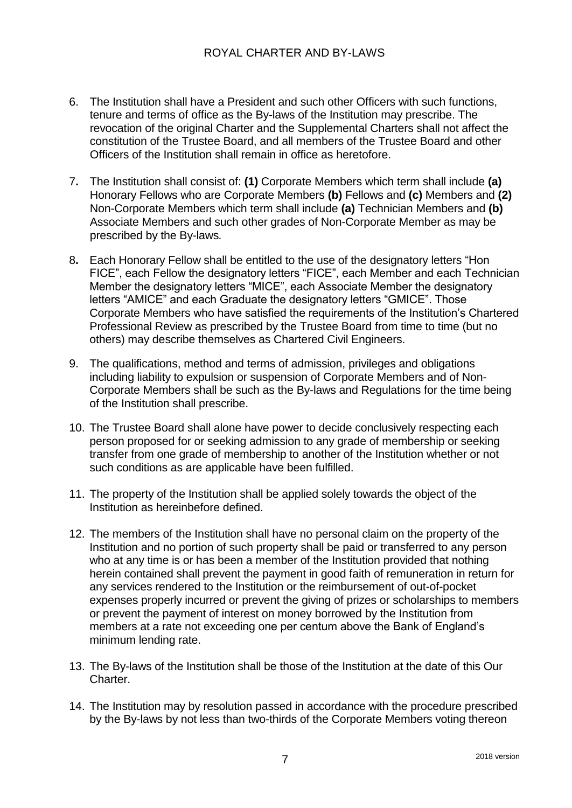- 6. The Institution shall have a President and such other Officers with such functions, tenure and terms of office as the By-laws of the Institution may prescribe. The revocation of the original Charter and the Supplemental Charters shall not affect the constitution of the Trustee Board, and all members of the Trustee Board and other Officers of the Institution shall remain in office as heretofore.
- 7**.** The Institution shall consist of: **(1)** Corporate Members which term shall include **(a)** Honorary Fellows who are Corporate Members **(b)** Fellows and **(c)** Members and **(2)**  Non-Corporate Members which term shall include **(a)** Technician Members and **(b)** Associate Members and such other grades of Non-Corporate Member as may be prescribed by the By-laws*.*
- 8**.** Each Honorary Fellow shall be entitled to the use of the designatory letters "Hon FICE", each Fellow the designatory letters "FICE", each Member and each Technician Member the designatory letters "MICE", each Associate Member the designatory letters "AMICE" and each Graduate the designatory letters "GMICE". Those Corporate Members who have satisfied the requirements of the Institution's Chartered Professional Review as prescribed by the Trustee Board from time to time (but no others) may describe themselves as Chartered Civil Engineers.
- 9. The qualifications, method and terms of admission, privileges and obligations including liability to expulsion or suspension of Corporate Members and of Non-Corporate Members shall be such as the By-laws and Regulations for the time being of the Institution shall prescribe.
- 10. The Trustee Board shall alone have power to decide conclusively respecting each person proposed for or seeking admission to any grade of membership or seeking transfer from one grade of membership to another of the Institution whether or not such conditions as are applicable have been fulfilled.
- 11. The property of the Institution shall be applied solely towards the object of the Institution as hereinbefore defined.
- 12. The members of the Institution shall have no personal claim on the property of the Institution and no portion of such property shall be paid or transferred to any person who at any time is or has been a member of the Institution provided that nothing herein contained shall prevent the payment in good faith of remuneration in return for any services rendered to the Institution or the reimbursement of out-of-pocket expenses properly incurred or prevent the giving of prizes or scholarships to members or prevent the payment of interest on money borrowed by the Institution from members at a rate not exceeding one per centum above the Bank of England's minimum lending rate.
- 13. The By-laws of the Institution shall be those of the Institution at the date of this Our Charter.
- 14. The Institution may by resolution passed in accordance with the procedure prescribed by the By-laws by not less than two-thirds of the Corporate Members voting thereon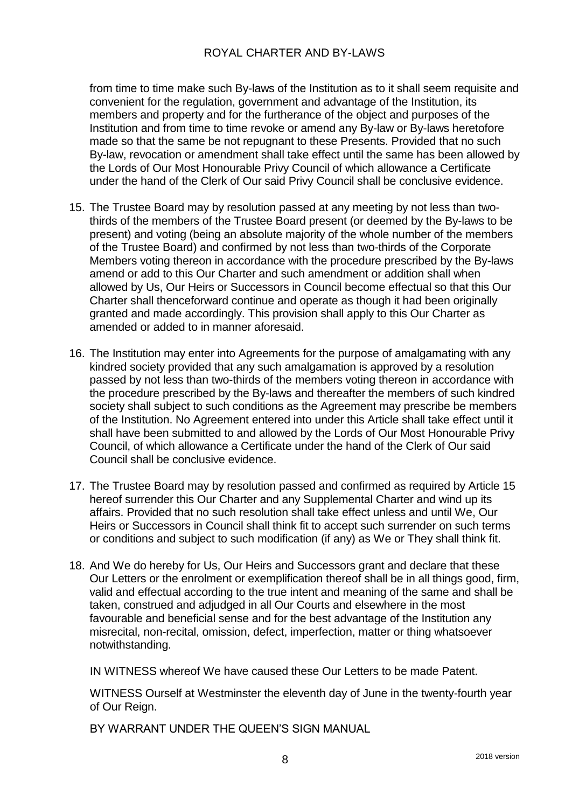from time to time make such By-laws of the Institution as to it shall seem requisite and convenient for the regulation, government and advantage of the Institution, its members and property and for the furtherance of the object and purposes of the Institution and from time to time revoke or amend any By-law or By-laws heretofore made so that the same be not repugnant to these Presents. Provided that no such By-law, revocation or amendment shall take effect until the same has been allowed by the Lords of Our Most Honourable Privy Council of which allowance a Certificate under the hand of the Clerk of Our said Privy Council shall be conclusive evidence.

- 15. The Trustee Board may by resolution passed at any meeting by not less than twothirds of the members of the Trustee Board present (or deemed by the By-laws to be present) and voting (being an absolute majority of the whole number of the members of the Trustee Board) and confirmed by not less than two-thirds of the Corporate Members voting thereon in accordance with the procedure prescribed by the By-laws amend or add to this Our Charter and such amendment or addition shall when allowed by Us, Our Heirs or Successors in Council become effectual so that this Our Charter shall thenceforward continue and operate as though it had been originally granted and made accordingly. This provision shall apply to this Our Charter as amended or added to in manner aforesaid.
- 16. The Institution may enter into Agreements for the purpose of amalgamating with any kindred society provided that any such amalgamation is approved by a resolution passed by not less than two-thirds of the members voting thereon in accordance with the procedure prescribed by the By-laws and thereafter the members of such kindred society shall subject to such conditions as the Agreement may prescribe be members of the Institution. No Agreement entered into under this Article shall take effect until it shall have been submitted to and allowed by the Lords of Our Most Honourable Privy Council, of which allowance a Certificate under the hand of the Clerk of Our said Council shall be conclusive evidence.
- 17. The Trustee Board may by resolution passed and confirmed as required by Article 15 hereof surrender this Our Charter and any Supplemental Charter and wind up its affairs. Provided that no such resolution shall take effect unless and until We, Our Heirs or Successors in Council shall think fit to accept such surrender on such terms or conditions and subject to such modification (if any) as We or They shall think fit.
- 18. And We do hereby for Us, Our Heirs and Successors grant and declare that these Our Letters or the enrolment or exemplification thereof shall be in all things good, firm, valid and effectual according to the true intent and meaning of the same and shall be taken, construed and adjudged in all Our Courts and elsewhere in the most favourable and beneficial sense and for the best advantage of the Institution any misrecital, non-recital, omission, defect, imperfection, matter or thing whatsoever notwithstanding.

IN WITNESS whereof We have caused these Our Letters to be made Patent.

WITNESS Ourself at Westminster the eleventh day of June in the twenty-fourth year of Our Reign.

BY WARRANT UNDER THE QUEEN'S SIGN MANUAL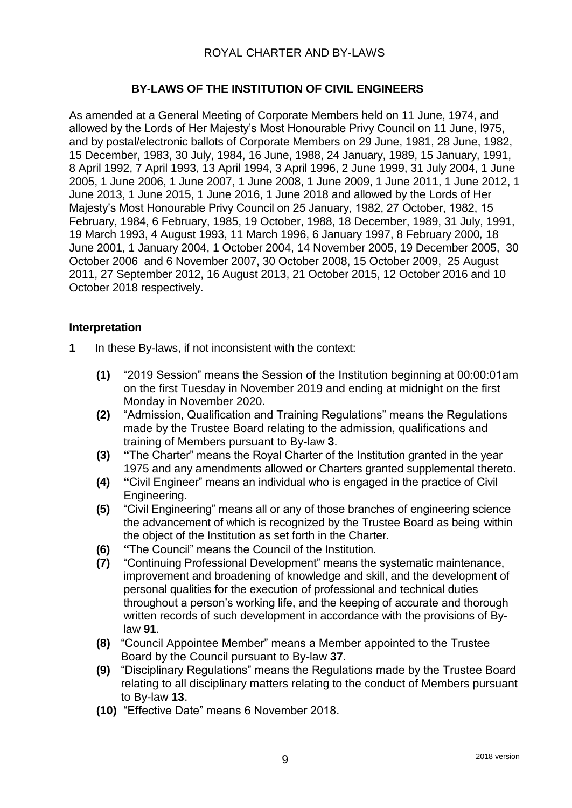# **BY-LAWS OF THE INSTITUTION OF CIVIL ENGINEERS**

As amended at a General Meeting of Corporate Members held on 11 June, 1974, and allowed by the Lords of Her Majesty's Most Honourable Privy Council on 11 June, l975, and by postal/electronic ballots of Corporate Members on 29 June, 1981, 28 June, 1982, 15 December, 1983, 30 July, 1984, 16 June, 1988, 24 January, 1989, 15 January, 1991, 8 April 1992, 7 April 1993, 13 April 1994, 3 April 1996, 2 June 1999, 31 July 2004, 1 June 2005, 1 June 2006, 1 June 2007, 1 June 2008, 1 June 2009, 1 June 2011, 1 June 2012, 1 June 2013, 1 June 2015, 1 June 2016, 1 June 2018 and allowed by the Lords of Her Majesty's Most Honourable Privy Council on 25 January, 1982, 27 October, 1982, 15 February, 1984, 6 February, 1985, 19 October, 1988, 18 December, 1989, 31 July, 1991, 19 March 1993, 4 August 1993, 11 March 1996, 6 January 1997, 8 February 2000*,* 18 June 2001, 1 January 2004, 1 October 2004, 14 November 2005, 19 December 2005, 30 October 2006 and 6 November 2007, 30 October 2008, 15 October 2009, 25 August 2011, 27 September 2012, 16 August 2013, 21 October 2015, 12 October 2016 and 10 October 2018 respectively.

#### **Interpretation**

- **1** In these By-laws, if not inconsistent with the context:
	- **(1)** "2019 Session" means the Session of the Institution beginning at 00:00:01am on the first Tuesday in November 2019 and ending at midnight on the first Monday in November 2020.
	- **(2)** "Admission, Qualification and Training Regulations" means the Regulations made by the Trustee Board relating to the admission, qualifications and training of Members pursuant to By-law **3**.
	- **(3) "**The Charter" means the Royal Charter of the Institution granted in the year 1975 and any amendments allowed or Charters granted supplemental thereto.
	- **(4) "**Civil Engineer" means an individual who is engaged in the practice of Civil Engineering.
	- **(5)** "Civil Engineering" means all or any of those branches of engineering science the advancement of which is recognized by the Trustee Board as being within the object of the Institution as set forth in the Charter.
	- **(6) "**The Council" means the Council of the Institution.
	- **(7)** "Continuing Professional Development" means the systematic maintenance, improvement and broadening of knowledge and skill, and the development of personal qualities for the execution of professional and technical duties throughout a person's working life, and the keeping of accurate and thorough written records of such development in accordance with the provisions of Bylaw **91**.
	- **(8)** "Council Appointee Member" means a Member appointed to the Trustee Board by the Council pursuant to By-law **37**.
	- **(9)** "Disciplinary Regulations" means the Regulations made by the Trustee Board relating to all disciplinary matters relating to the conduct of Members pursuant to By-law **13**.
	- **(10)** "Effective Date" means 6 November 2018.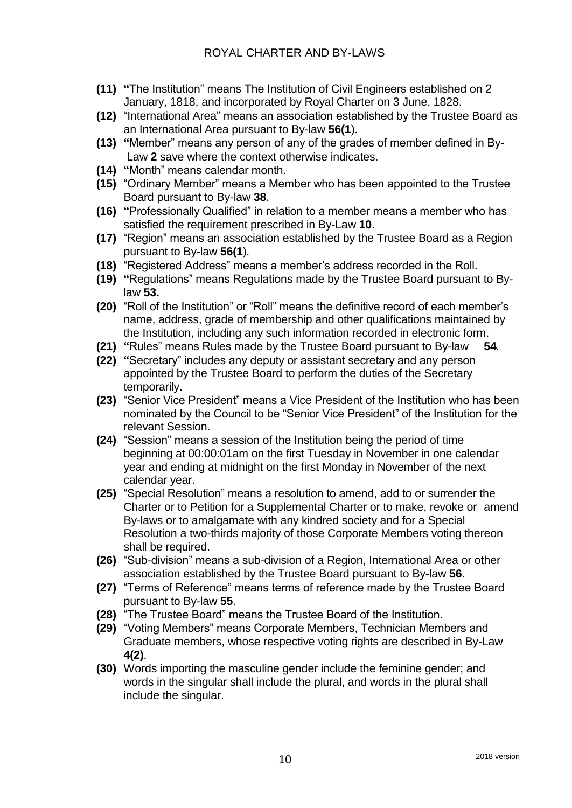- **(11) "**The Institution" means The Institution of Civil Engineers established on 2 January, 1818, and incorporated by Royal Charter on 3 June, 1828.
- **(12)** "International Area" means an association established by the Trustee Board as an International Area pursuant to By-law **56(1**).
- **(13) "**Member" means any person of any of the grades of member defined in By-Law **2** save where the context otherwise indicates.
- **(14) "**Month" means calendar month.
- **(15)** "Ordinary Member" means a Member who has been appointed to the Trustee Board pursuant to By-law **38**.
- **(16) "**Professionally Qualified" in relation to a member means a member who has satisfied the requirement prescribed in By-Law **10**.
- **(17)** "Region" means an association established by the Trustee Board as a Region pursuant to By-law **56(1**).
- **(18)** "Registered Address" means a member's address recorded in the Roll.
- **(19) "**Regulations" means Regulations made by the Trustee Board pursuant to Bylaw **53.**
- **(20)** "Roll of the Institution" or "Roll" means the definitive record of each member's name, address, grade of membership and other qualifications maintained by the Institution, including any such information recorded in electronic form.
- **(21) "**Rules" means Rules made by the Trustee Board pursuant to By-law **54***.*
- **(22) "**Secretary" includes any deputy or assistant secretary and any person appointed by the Trustee Board to perform the duties of the Secretary temporarily.
- **(23)** "Senior Vice President" means a Vice President of the Institution who has been nominated by the Council to be "Senior Vice President" of the Institution for the relevant Session.
- **(24)** "Session" means a session of the Institution being the period of time beginning at 00:00:01am on the first Tuesday in November in one calendar year and ending at midnight on the first Monday in November of the next calendar year.
- **(25)** "Special Resolution" means a resolution to amend, add to or surrender the Charter or to Petition for a Supplemental Charter or to make, revoke or amend By-laws or to amalgamate with any kindred society and for a Special Resolution a two-thirds majority of those Corporate Members voting thereon shall be required.
- **(26)** "Sub-division" means a sub-division of a Region, International Area or other association established by the Trustee Board pursuant to By-law **56**.
- **(27)** "Terms of Reference" means terms of reference made by the Trustee Board pursuant to By-law **55**.
- **(28)** "The Trustee Board" means the Trustee Board of the Institution.
- **(29)** "Voting Members" means Corporate Members, Technician Members and Graduate members, whose respective voting rights are described in By-Law **4(2)**.
- **(30)** Words importing the masculine gender include the feminine gender; and words in the singular shall include the plural, and words in the plural shall include the singular.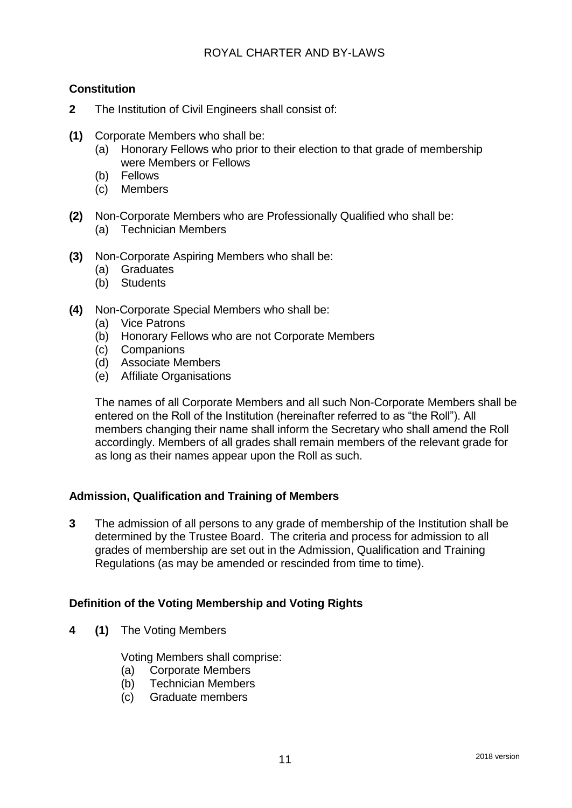#### **Constitution**

- **2** The Institution of Civil Engineers shall consist of:
- **(1)** Corporate Members who shall be:
	- (a) Honorary Fellows who prior to their election to that grade of membership were Members or Fellows
	- (b) Fellows
	- (c) Members
- **(2)** Non-Corporate Members who are Professionally Qualified who shall be: (a) Technician Members
- **(3)** Non-Corporate Aspiring Members who shall be:
	- (a) Graduates
	- (b) Students
- **(4)** Non-Corporate Special Members who shall be:
	- (a) Vice Patrons
	- (b) Honorary Fellows who are not Corporate Members
	- (c) Companions
	- (d) Associate Members
	- (e) Affiliate Organisations

The names of all Corporate Members and all such Non-Corporate Members shall be entered on the Roll of the Institution (hereinafter referred to as "the Roll"). All members changing their name shall inform the Secretary who shall amend the Roll accordingly. Members of all grades shall remain members of the relevant grade for as long as their names appear upon the Roll as such.

#### **Admission, Qualification and Training of Members**

**3** The admission of all persons to any grade of membership of the Institution shall be determined by the Trustee Board. The criteria and process for admission to all grades of membership are set out in the Admission, Qualification and Training Regulations (as may be amended or rescinded from time to time).

#### **Definition of the Voting Membership and Voting Rights**

**4 (1)** The Voting Members

Voting Members shall comprise:

- (a) Corporate Members
- (b) Technician Members
- (c) Graduate members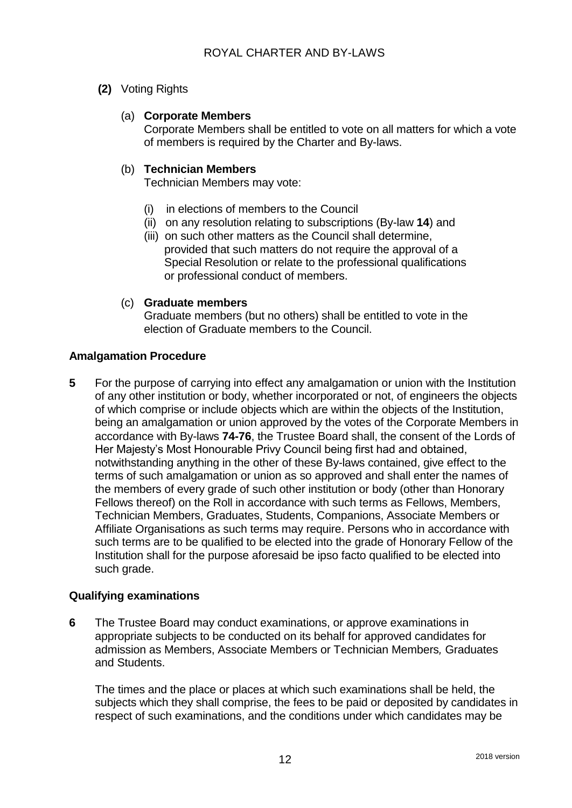**(2)** Voting Rights

#### (a) **Corporate Members**

Corporate Members shall be entitled to vote on all matters for which a vote of members is required by the Charter and By-laws.

#### (b) **Technician Members**

Technician Members may vote:

- (i) in elections of members to the Council
- (ii) on any resolution relating to subscriptions (By-law **14**) and
- (iii) on such other matters as the Council shall determine, provided that such matters do not require the approval of a Special Resolution or relate to the professional qualifications or professional conduct of members.
- (c) **Graduate members**

Graduate members (but no others) shall be entitled to vote in the election of Graduate members to the Council.

#### **Amalgamation Procedure**

**5** For the purpose of carrying into effect any amalgamation or union with the Institution of any other institution or body, whether incorporated or not, of engineers the objects of which comprise or include objects which are within the objects of the Institution, being an amalgamation or union approved by the votes of the Corporate Members in accordance with By-laws **74-76**, the Trustee Board shall, the consent of the Lords of Her Majesty's Most Honourable Privy Council being first had and obtained, notwithstanding anything in the other of these By-laws contained, give effect to the terms of such amalgamation or union as so approved and shall enter the names of the members of every grade of such other institution or body (other than Honorary Fellows thereof) on the Roll in accordance with such terms as Fellows, Members, Technician Members, Graduates, Students, Companions, Associate Members or Affiliate Organisations as such terms may require. Persons who in accordance with such terms are to be qualified to be elected into the grade of Honorary Fellow of the Institution shall for the purpose aforesaid be ipso facto qualified to be elected into such grade.

#### **Qualifying examinations**

**6** The Trustee Board may conduct examinations, or approve examinations in appropriate subjects to be conducted on its behalf for approved candidates for admission as Members, Associate Members or Technician Members*,* Graduates and Students.

The times and the place or places at which such examinations shall be held, the subjects which they shall comprise, the fees to be paid or deposited by candidates in respect of such examinations, and the conditions under which candidates may be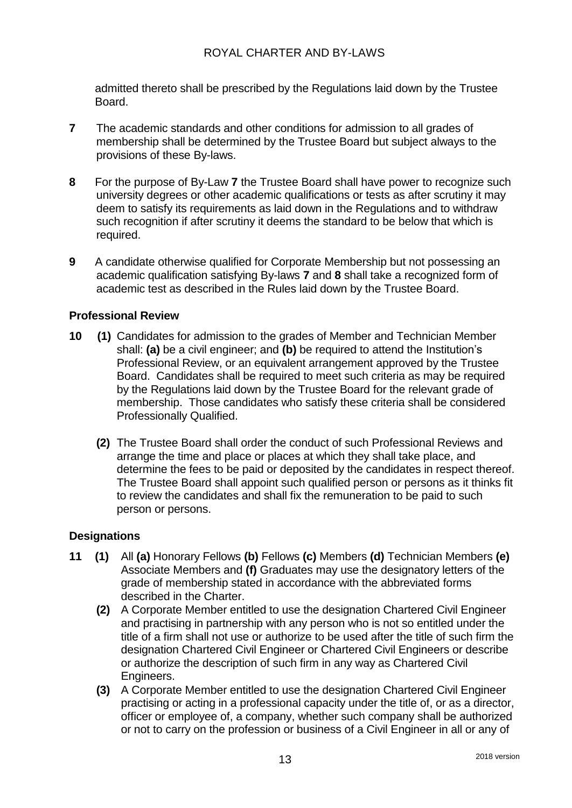admitted thereto shall be prescribed by the Regulations laid down by the Trustee Board.

- **7** The academic standards and other conditions for admission to all grades of membership shall be determined by the Trustee Board but subject always to the provisions of these By-laws.
- **8** For the purpose of By-Law **7** the Trustee Board shall have power to recognize such university degrees or other academic qualifications or tests as after scrutiny it may deem to satisfy its requirements as laid down in the Regulations and to withdraw such recognition if after scrutiny it deems the standard to be below that which is required.
- **9** A candidate otherwise qualified for Corporate Membership but not possessing an academic qualification satisfying By-laws **7** and **8** shall take a recognized form of academic test as described in the Rules laid down by the Trustee Board.

### **Professional Review**

- **10 (1)** Candidates for admission to the grades of Member and Technician Member shall: **(a)** be a civil engineer; and **(b)** be required to attend the Institution's Professional Review, or an equivalent arrangement approved by the Trustee Board. Candidates shall be required to meet such criteria as may be required by the Regulations laid down by the Trustee Board for the relevant grade of membership. Those candidates who satisfy these criteria shall be considered Professionally Qualified.
	- **(2)** The Trustee Board shall order the conduct of such Professional Reviews and arrange the time and place or places at which they shall take place, and determine the fees to be paid or deposited by the candidates in respect thereof. The Trustee Board shall appoint such qualified person or persons as it thinks fit to review the candidates and shall fix the remuneration to be paid to such person or persons.

#### **Designations**

- **11 (1)** All **(a)** Honorary Fellows **(b)** Fellows **(c)** Members **(d)** Technician Members **(e)** Associate Members and **(f)** Graduates may use the designatory letters of the grade of membership stated in accordance with the abbreviated forms described in the Charter.
	- **(2)** A Corporate Member entitled to use the designation Chartered Civil Engineer and practising in partnership with any person who is not so entitled under the title of a firm shall not use or authorize to be used after the title of such firm the designation Chartered Civil Engineer or Chartered Civil Engineers or describe or authorize the description of such firm in any way as Chartered Civil Engineers.
	- **(3)** A Corporate Member entitled to use the designation Chartered Civil Engineer practising or acting in a professional capacity under the title of, or as a director, officer or employee of, a company, whether such company shall be authorized or not to carry on the profession or business of a Civil Engineer in all or any of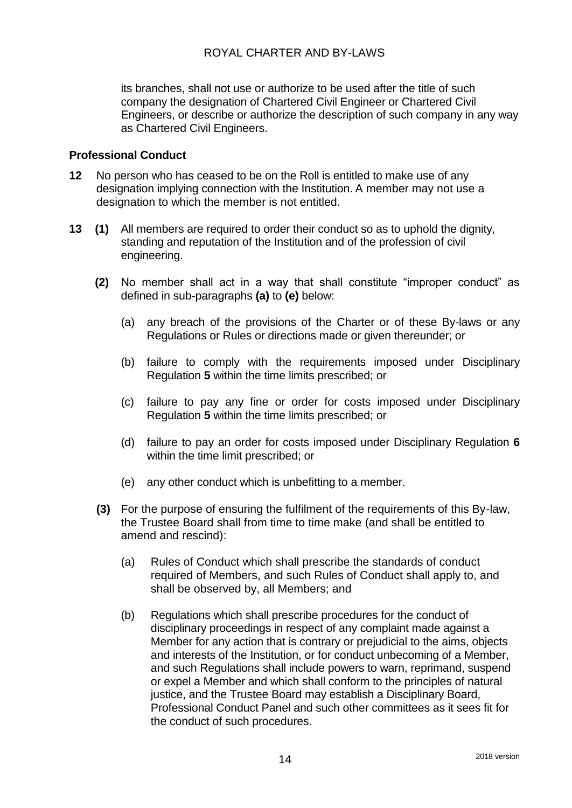its branches, shall not use or authorize to be used after the title of such company the designation of Chartered Civil Engineer or Chartered Civil Engineers, or describe or authorize the description of such company in any way as Chartered Civil Engineers.

#### **Professional Conduct**

- **12** No person who has ceased to be on the Roll is entitled to make use of any designation implying connection with the Institution. A member may not use a designation to which the member is not entitled.
- **13 (1)** All members are required to order their conduct so as to uphold the dignity, standing and reputation of the Institution and of the profession of civil engineering.
	- **(2)** No member shall act in a way that shall constitute "improper conduct" as defined in sub-paragraphs **(a)** to **(e)** below:
		- (a) any breach of the provisions of the Charter or of these By-laws or any Regulations or Rules or directions made or given thereunder; or
		- (b) failure to comply with the requirements imposed under Disciplinary Regulation **5** within the time limits prescribed; or
		- (c) failure to pay any fine or order for costs imposed under Disciplinary Regulation **5** within the time limits prescribed; or
		- (d) failure to pay an order for costs imposed under Disciplinary Regulation **6** within the time limit prescribed; or
		- (e) any other conduct which is unbefitting to a member.
	- **(3)** For the purpose of ensuring the fulfilment of the requirements of this By-law, the Trustee Board shall from time to time make (and shall be entitled to amend and rescind):
		- (a) Rules of Conduct which shall prescribe the standards of conduct required of Members, and such Rules of Conduct shall apply to, and shall be observed by, all Members; and
		- (b) Regulations which shall prescribe procedures for the conduct of disciplinary proceedings in respect of any complaint made against a Member for any action that is contrary or prejudicial to the aims, objects and interests of the Institution, or for conduct unbecoming of a Member, and such Regulations shall include powers to warn, reprimand, suspend or expel a Member and which shall conform to the principles of natural justice, and the Trustee Board may establish a Disciplinary Board, Professional Conduct Panel and such other committees as it sees fit for the conduct of such procedures.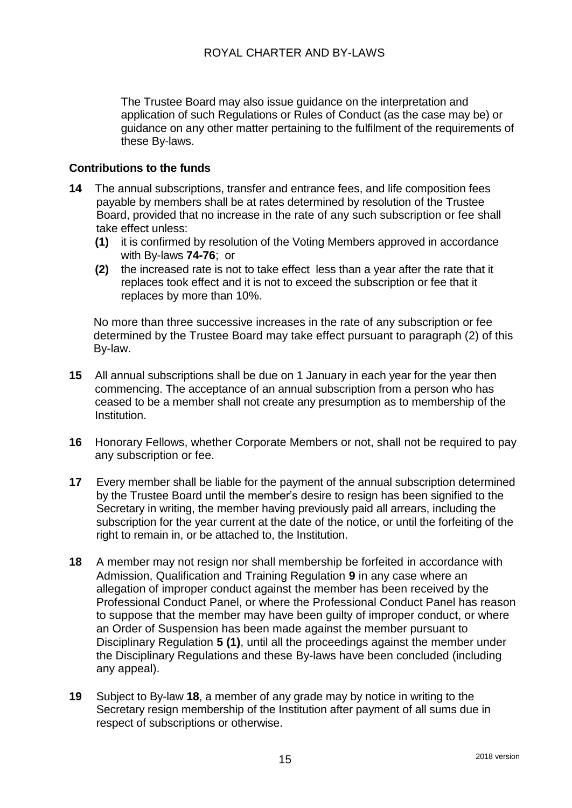The Trustee Board may also issue guidance on the interpretation and application of such Regulations or Rules of Conduct (as the case may be) or guidance on any other matter pertaining to the fulfilment of the requirements of these By-laws.

#### **Contributions to the funds**

- **14** The annual subscriptions, transfer and entrance fees, and life composition fees payable by members shall be at rates determined by resolution of the Trustee Board, provided that no increase in the rate of any such subscription or fee shall take effect unless:
	- **(1)** it is confirmed by resolution of the Voting Members approved in accordance with By-laws **74-76**; or
	- **(2)** the increased rate is not to take effect less than a year after the rate that it replaces took effect and it is not to exceed the subscription or fee that it replaces by more than 10%.

No more than three successive increases in the rate of any subscription or fee determined by the Trustee Board may take effect pursuant to paragraph (2) of this By-law.

- **15** All annual subscriptions shall be due on 1 January in each year for the year then commencing. The acceptance of an annual subscription from a person who has ceased to be a member shall not create any presumption as to membership of the Institution.
- **16** Honorary Fellows, whether Corporate Members or not, shall not be required to pay any subscription or fee.
- **17** Every member shall be liable for the payment of the annual subscription determined by the Trustee Board until the member's desire to resign has been signified to the Secretary in writing, the member having previously paid all arrears, including the subscription for the year current at the date of the notice, or until the forfeiting of the right to remain in, or be attached to, the Institution.
- **18** A member may not resign nor shall membership be forfeited in accordance with Admission, Qualification and Training Regulation **9** in any case where an allegation of improper conduct against the member has been received by the Professional Conduct Panel, or where the Professional Conduct Panel has reason to suppose that the member may have been guilty of improper conduct, or where an Order of Suspension has been made against the member pursuant to Disciplinary Regulation **5 (1)**, until all the proceedings against the member under the Disciplinary Regulations and these By-laws have been concluded (including any appeal).
- **19** Subject to By-law **18**, a member of any grade may by notice in writing to the Secretary resign membership of the Institution after payment of all sums due in respect of subscriptions or otherwise.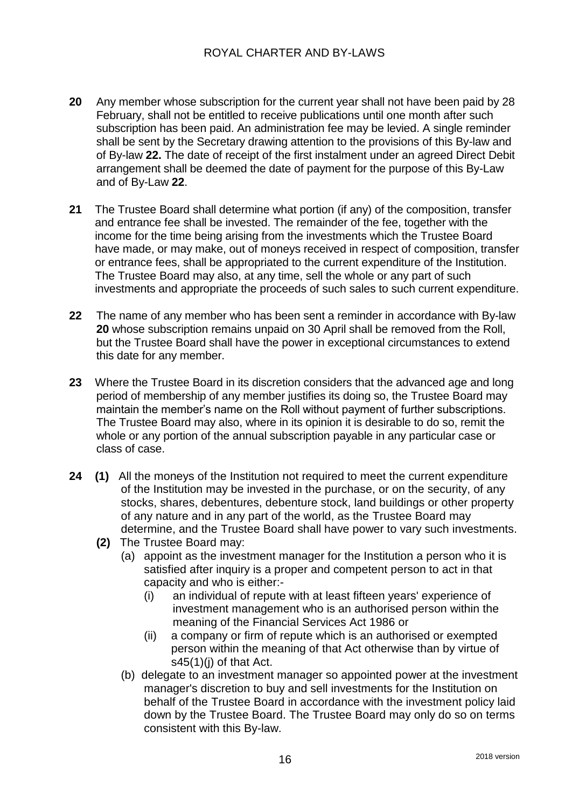- **20** Any member whose subscription for the current year shall not have been paid by 28 February, shall not be entitled to receive publications until one month after such subscription has been paid. An administration fee may be levied. A single reminder shall be sent by the Secretary drawing attention to the provisions of this By-law and of By-law **22.** The date of receipt of the first instalment under an agreed Direct Debit arrangement shall be deemed the date of payment for the purpose of this By-Law and of By-Law **22**.
- **21** The Trustee Board shall determine what portion (if any) of the composition, transfer and entrance fee shall be invested. The remainder of the fee, together with the income for the time being arising from the investments which the Trustee Board have made, or may make, out of moneys received in respect of composition, transfer or entrance fees, shall be appropriated to the current expenditure of the Institution. The Trustee Board may also, at any time, sell the whole or any part of such investments and appropriate the proceeds of such sales to such current expenditure.
- **22** The name of any member who has been sent a reminder in accordance with By-law **20** whose subscription remains unpaid on 30 April shall be removed from the Roll, but the Trustee Board shall have the power in exceptional circumstances to extend this date for any member.
- **23** Where the Trustee Board in its discretion considers that the advanced age and long period of membership of any member justifies its doing so, the Trustee Board may maintain the member's name on the Roll without payment of further subscriptions. The Trustee Board may also, where in its opinion it is desirable to do so, remit the whole or any portion of the annual subscription payable in any particular case or class of case.
- **24 (1)** All the moneys of the Institution not required to meet the current expenditure of the Institution may be invested in the purchase, or on the security, of any stocks, shares, debentures, debenture stock, land buildings or other property of any nature and in any part of the world, as the Trustee Board may determine, and the Trustee Board shall have power to vary such investments.
	- **(2)** The Trustee Board may:
		- (a) appoint as the investment manager for the Institution a person who it is satisfied after inquiry is a proper and competent person to act in that capacity and who is either:-
			- (i) an individual of repute with at least fifteen years' experience of investment management who is an authorised person within the meaning of the Financial Services Act 1986 or
			- (ii) a company or firm of repute which is an authorised or exempted person within the meaning of that Act otherwise than by virtue of  $s45(1)(i)$  of that Act.
		- (b)delegate to an investment manager so appointed power at the investment manager's discretion to buy and sell investments for the Institution on behalf of the Trustee Board in accordance with the investment policy laid down by the Trustee Board. The Trustee Board may only do so on terms consistent with this By-law.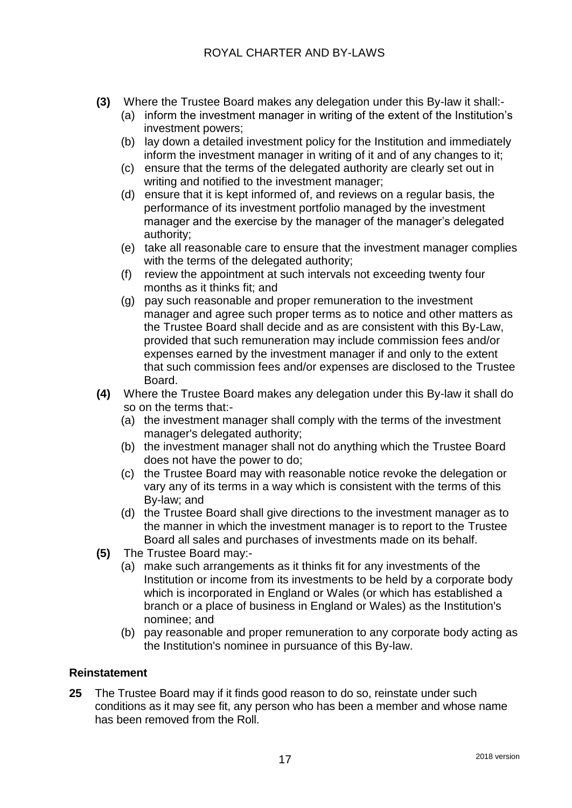- **(3)** Where the Trustee Board makes any delegation under this By-law it shall:-
	- (a) inform the investment manager in writing of the extent of the Institution's investment powers;
	- (b) lay down a detailed investment policy for the Institution and immediately inform the investment manager in writing of it and of any changes to it;
	- (c) ensure that the terms of the delegated authority are clearly set out in writing and notified to the investment manager;
	- (d) ensure that it is kept informed of, and reviews on a regular basis, the performance of its investment portfolio managed by the investment manager and the exercise by the manager of the manager's delegated authority;
	- (e) take all reasonable care to ensure that the investment manager complies with the terms of the delegated authority;
	- (f) review the appointment at such intervals not exceeding twenty four months as it thinks fit; and
	- (g) pay such reasonable and proper remuneration to the investment manager and agree such proper terms as to notice and other matters as the Trustee Board shall decide and as are consistent with this By-Law, provided that such remuneration may include commission fees and/or expenses earned by the investment manager if and only to the extent that such commission fees and/or expenses are disclosed to the Trustee Board.
- **(4)** Where the Trustee Board makes any delegation under this By-law it shall do so on the terms that:-
	- (a) the investment manager shall comply with the terms of the investment manager's delegated authority;
	- (b) the investment manager shall not do anything which the Trustee Board does not have the power to do;
	- (c) the Trustee Board may with reasonable notice revoke the delegation or vary any of its terms in a way which is consistent with the terms of this By-law; and
	- (d) the Trustee Board shall give directions to the investment manager as to the manner in which the investment manager is to report to the Trustee Board all sales and purchases of investments made on its behalf.
- **(5)** The Trustee Board may:-
	- (a) make such arrangements as it thinks fit for any investments of the Institution or income from its investments to be held by a corporate body which is incorporated in England or Wales (or which has established a branch or a place of business in England or Wales) as the Institution's nominee; and
	- (b) pay reasonable and proper remuneration to any corporate body acting as the Institution's nominee in pursuance of this By-law.

# **Reinstatement**

**25** The Trustee Board may if it finds good reason to do so, reinstate under such conditions as it may see fit, any person who has been a member and whose name has been removed from the Roll.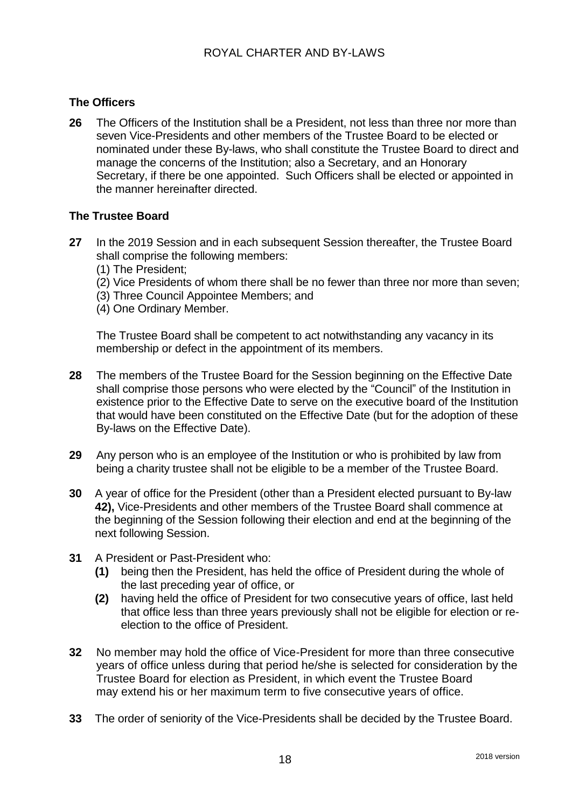### **The Officers**

**26** The Officers of the Institution shall be a President, not less than three nor more than seven Vice-Presidents and other members of the Trustee Board to be elected or nominated under these By-laws, who shall constitute the Trustee Board to direct and manage the concerns of the Institution; also a Secretary, and an Honorary Secretary, if there be one appointed. Such Officers shall be elected or appointed in the manner hereinafter directed.

#### **The Trustee Board**

- **27** In the 2019 Session and in each subsequent Session thereafter, the Trustee Board shall comprise the following members:
	- (1) The President;
	- (2) Vice Presidents of whom there shall be no fewer than three nor more than seven;
	- (3) Three Council Appointee Members; and
	- (4) One Ordinary Member.

The Trustee Board shall be competent to act notwithstanding any vacancy in its membership or defect in the appointment of its members.

- **28** The members of the Trustee Board for the Session beginning on the Effective Date shall comprise those persons who were elected by the "Council" of the Institution in existence prior to the Effective Date to serve on the executive board of the Institution that would have been constituted on the Effective Date (but for the adoption of these By-laws on the Effective Date).
- **29** Any person who is an employee of the Institution or who is prohibited by law from being a charity trustee shall not be eligible to be a member of the Trustee Board.
- **30** A year of office for the President (other than a President elected pursuant to By-law **42),** Vice-Presidents and other members of the Trustee Board shall commence at the beginning of the Session following their election and end at the beginning of the next following Session.
- **31** A President or Past-President who:
	- **(1)** being then the President, has held the office of President during the whole of the last preceding year of office, or
	- **(2)** having held the office of President for two consecutive years of office, last held that office less than three years previously shall not be eligible for election or reelection to the office of President.
- **32** No member may hold the office of Vice-President for more than three consecutive years of office unless during that period he/she is selected for consideration by the Trustee Board for election as President, in which event the Trustee Board may extend his or her maximum term to five consecutive years of office.
- **33** The order of seniority of the Vice-Presidents shall be decided by the Trustee Board.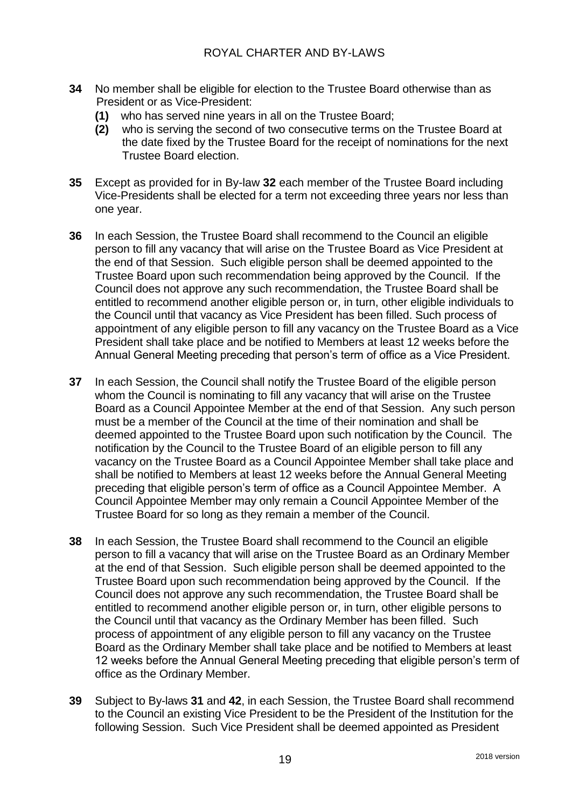- **34** No member shall be eligible for election to the Trustee Board otherwise than as President or as Vice-President:
	- **(1)** who has served nine years in all on the Trustee Board;
	- **(2)** who is serving the second of two consecutive terms on the Trustee Board at the date fixed by the Trustee Board for the receipt of nominations for the next Trustee Board election.
- **35** Except as provided for in By-law **32** each member of the Trustee Board including Vice-Presidents shall be elected for a term not exceeding three years nor less than one year.
- **36** In each Session, the Trustee Board shall recommend to the Council an eligible person to fill any vacancy that will arise on the Trustee Board as Vice President at the end of that Session. Such eligible person shall be deemed appointed to the Trustee Board upon such recommendation being approved by the Council. If the Council does not approve any such recommendation, the Trustee Board shall be entitled to recommend another eligible person or, in turn, other eligible individuals to the Council until that vacancy as Vice President has been filled. Such process of appointment of any eligible person to fill any vacancy on the Trustee Board as a Vice President shall take place and be notified to Members at least 12 weeks before the Annual General Meeting preceding that person's term of office as a Vice President.
- **37** In each Session, the Council shall notify the Trustee Board of the eligible person whom the Council is nominating to fill any vacancy that will arise on the Trustee Board as a Council Appointee Member at the end of that Session. Any such person must be a member of the Council at the time of their nomination and shall be deemed appointed to the Trustee Board upon such notification by the Council. The notification by the Council to the Trustee Board of an eligible person to fill any vacancy on the Trustee Board as a Council Appointee Member shall take place and shall be notified to Members at least 12 weeks before the Annual General Meeting preceding that eligible person's term of office as a Council Appointee Member. A Council Appointee Member may only remain a Council Appointee Member of the Trustee Board for so long as they remain a member of the Council.
- **38** In each Session, the Trustee Board shall recommend to the Council an eligible person to fill a vacancy that will arise on the Trustee Board as an Ordinary Member at the end of that Session. Such eligible person shall be deemed appointed to the Trustee Board upon such recommendation being approved by the Council. If the Council does not approve any such recommendation, the Trustee Board shall be entitled to recommend another eligible person or, in turn, other eligible persons to the Council until that vacancy as the Ordinary Member has been filled. Such process of appointment of any eligible person to fill any vacancy on the Trustee Board as the Ordinary Member shall take place and be notified to Members at least 12 weeks before the Annual General Meeting preceding that eligible person's term of office as the Ordinary Member.
- **39** Subject to By-laws **31** and **42**, in each Session, the Trustee Board shall recommend to the Council an existing Vice President to be the President of the Institution for the following Session. Such Vice President shall be deemed appointed as President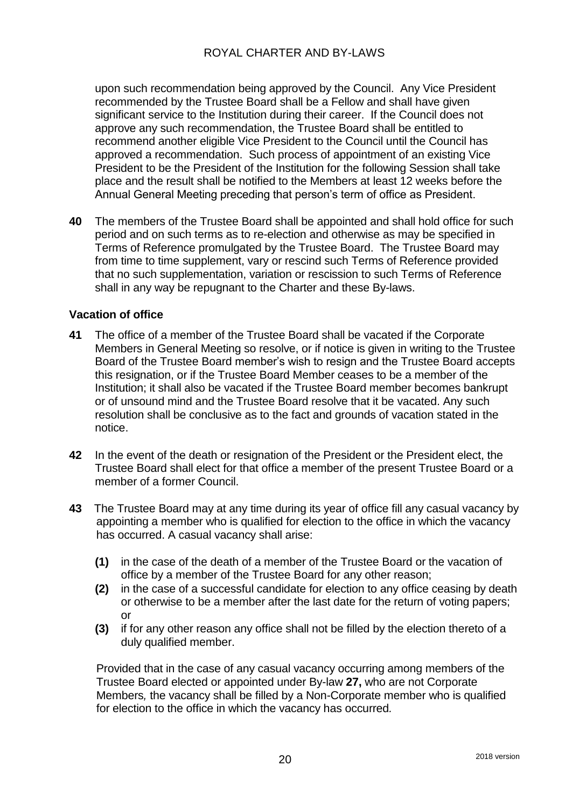upon such recommendation being approved by the Council. Any Vice President recommended by the Trustee Board shall be a Fellow and shall have given significant service to the Institution during their career. If the Council does not approve any such recommendation, the Trustee Board shall be entitled to recommend another eligible Vice President to the Council until the Council has approved a recommendation. Such process of appointment of an existing Vice President to be the President of the Institution for the following Session shall take place and the result shall be notified to the Members at least 12 weeks before the Annual General Meeting preceding that person's term of office as President.

**40** The members of the Trustee Board shall be appointed and shall hold office for such period and on such terms as to re-election and otherwise as may be specified in Terms of Reference promulgated by the Trustee Board. The Trustee Board may from time to time supplement, vary or rescind such Terms of Reference provided that no such supplementation, variation or rescission to such Terms of Reference shall in any way be repugnant to the Charter and these By-laws.

#### **Vacation of office**

- **41** The office of a member of the Trustee Board shall be vacated if the Corporate Members in General Meeting so resolve, or if notice is given in writing to the Trustee Board of the Trustee Board member's wish to resign and the Trustee Board accepts this resignation, or if the Trustee Board Member ceases to be a member of the Institution; it shall also be vacated if the Trustee Board member becomes bankrupt or of unsound mind and the Trustee Board resolve that it be vacated. Any such resolution shall be conclusive as to the fact and grounds of vacation stated in the notice.
- **42** In the event of the death or resignation of the President or the President elect, the Trustee Board shall elect for that office a member of the present Trustee Board or a member of a former Council.
- **43** The Trustee Board may at any time during its year of office fill any casual vacancy by appointing a member who is qualified for election to the office in which the vacancy has occurred. A casual vacancy shall arise:
	- **(1)** in the case of the death of a member of the Trustee Board or the vacation of office by a member of the Trustee Board for any other reason;
	- **(2)** in the case of a successful candidate for election to any office ceasing by death or otherwise to be a member after the last date for the return of voting papers; or
	- **(3)** if for any other reason any office shall not be filled by the election thereto of a duly qualified member.

Provided that in the case of any casual vacancy occurring among members of the Trustee Board elected or appointed under By-law **27,** who are not Corporate Members*,* the vacancy shall be filled by a Non-Corporate member who is qualified for election to the office in which the vacancy has occurred*.*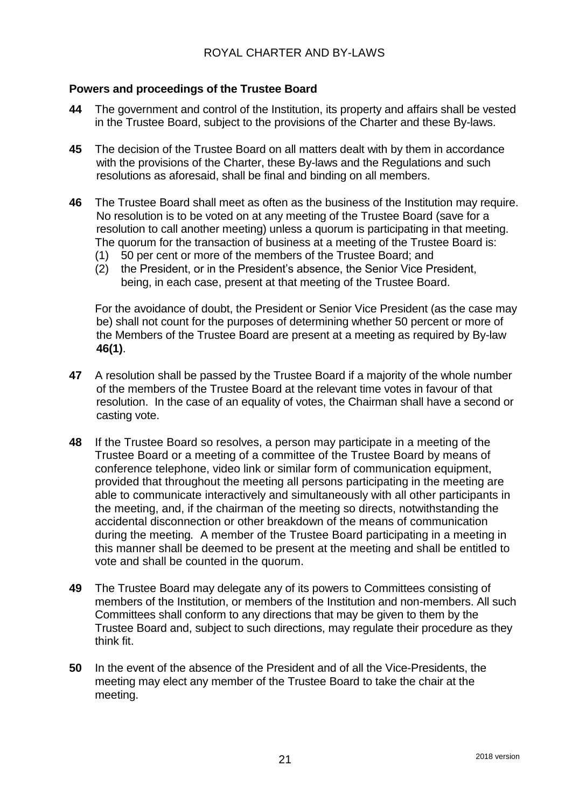#### **Powers and proceedings of the Trustee Board**

- **44** The government and control of the Institution, its property and affairs shall be vested in the Trustee Board, subject to the provisions of the Charter and these By-laws.
- **45** The decision of the Trustee Board on all matters dealt with by them in accordance with the provisions of the Charter, these By-laws and the Regulations and such resolutions as aforesaid, shall be final and binding on all members.
- **46** The Trustee Board shall meet as often as the business of the Institution may require. No resolution is to be voted on at any meeting of the Trustee Board (save for a resolution to call another meeting) unless a quorum is participating in that meeting. The quorum for the transaction of business at a meeting of the Trustee Board is:
	- (1) 50 per cent or more of the members of the Trustee Board; and
	- (2) the President, or in the President's absence, the Senior Vice President, being, in each case, present at that meeting of the Trustee Board.

For the avoidance of doubt, the President or Senior Vice President (as the case may be) shall not count for the purposes of determining whether 50 percent or more of the Members of the Trustee Board are present at a meeting as required by By-law **46(1)**.

- **47** A resolution shall be passed by the Trustee Board if a majority of the whole number of the members of the Trustee Board at the relevant time votes in favour of that resolution. In the case of an equality of votes, the Chairman shall have a second or casting vote.
- **48** If the Trustee Board so resolves, a person may participate in a meeting of the Trustee Board or a meeting of a committee of the Trustee Board by means of conference telephone, video link or similar form of communication equipment, provided that throughout the meeting all persons participating in the meeting are able to communicate interactively and simultaneously with all other participants in the meeting, and, if the chairman of the meeting so directs, notwithstanding the accidental disconnection or other breakdown of the means of communication during the meeting*.* A member of the Trustee Board participating in a meeting in this manner shall be deemed to be present at the meeting and shall be entitled to vote and shall be counted in the quorum.
- **49** The Trustee Board may delegate any of its powers to Committees consisting of members of the Institution, or members of the Institution and non-members. All such Committees shall conform to any directions that may be given to them by the Trustee Board and, subject to such directions, may regulate their procedure as they think fit.
- **50** In the event of the absence of the President and of all the Vice-Presidents, the meeting may elect any member of the Trustee Board to take the chair at the meeting.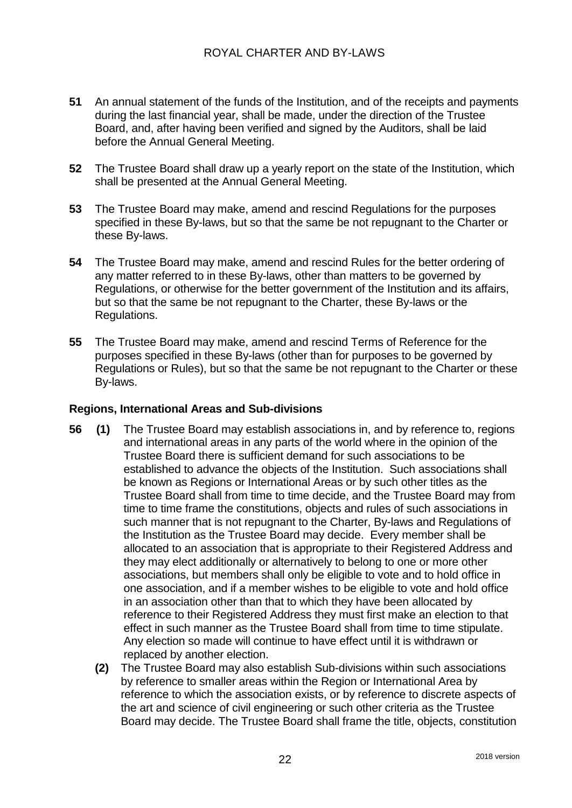- **51** An annual statement of the funds of the Institution, and of the receipts and payments during the last financial year, shall be made, under the direction of the Trustee Board, and, after having been verified and signed by the Auditors, shall be laid before the Annual General Meeting.
- **52** The Trustee Board shall draw up a yearly report on the state of the Institution, which shall be presented at the Annual General Meeting.
- **53** The Trustee Board may make, amend and rescind Regulations for the purposes specified in these By-laws, but so that the same be not repugnant to the Charter or these By-laws.
- **54** The Trustee Board may make, amend and rescind Rules for the better ordering of any matter referred to in these By-laws, other than matters to be governed by Regulations, or otherwise for the better government of the Institution and its affairs, but so that the same be not repugnant to the Charter, these By-laws or the Regulations.
- **55** The Trustee Board may make, amend and rescind Terms of Reference for the purposes specified in these By-laws (other than for purposes to be governed by Regulations or Rules), but so that the same be not repugnant to the Charter or these By-laws.

#### **Regions, International Areas and Sub-divisions**

- **56 (1)** The Trustee Board may establish associations in, and by reference to, regions and international areas in any parts of the world where in the opinion of the Trustee Board there is sufficient demand for such associations to be established to advance the objects of the Institution. Such associations shall be known as Regions or International Areas or by such other titles as the Trustee Board shall from time to time decide, and the Trustee Board may from time to time frame the constitutions, objects and rules of such associations in such manner that is not repugnant to the Charter, By-laws and Regulations of the Institution as the Trustee Board may decide. Every member shall be allocated to an association that is appropriate to their Registered Address and they may elect additionally or alternatively to belong to one or more other associations, but members shall only be eligible to vote and to hold office in one association, and if a member wishes to be eligible to vote and hold office in an association other than that to which they have been allocated by reference to their Registered Address they must first make an election to that effect in such manner as the Trustee Board shall from time to time stipulate. Any election so made will continue to have effect until it is withdrawn or replaced by another election.
	- **(2)** The Trustee Board may also establish Sub-divisions within such associations by reference to smaller areas within the Region or International Area by reference to which the association exists, or by reference to discrete aspects of the art and science of civil engineering or such other criteria as the Trustee Board may decide. The Trustee Board shall frame the title, objects, constitution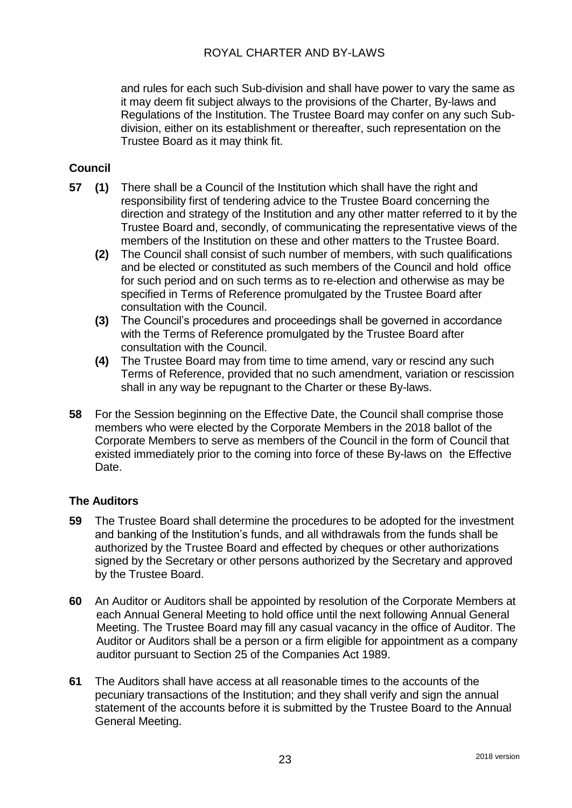and rules for each such Sub-division and shall have power to vary the same as it may deem fit subject always to the provisions of the Charter, By-laws and Regulations of the Institution. The Trustee Board may confer on any such Subdivision, either on its establishment or thereafter, such representation on the Trustee Board as it may think fit.

# **Council**

- **57 (1)** There shall be a Council of the Institution which shall have the right and responsibility first of tendering advice to the Trustee Board concerning the direction and strategy of the Institution and any other matter referred to it by the Trustee Board and, secondly, of communicating the representative views of the members of the Institution on these and other matters to the Trustee Board.
	- **(2)** The Council shall consist of such number of members, with such qualifications and be elected or constituted as such members of the Council and hold office for such period and on such terms as to re-election and otherwise as may be specified in Terms of Reference promulgated by the Trustee Board after consultation with the Council.
	- **(3)** The Council's procedures and proceedings shall be governed in accordance with the Terms of Reference promulgated by the Trustee Board after consultation with the Council.
	- **(4)** The Trustee Board may from time to time amend, vary or rescind any such Terms of Reference, provided that no such amendment, variation or rescission shall in any way be repugnant to the Charter or these By-laws.
- **58** For the Session beginning on the Effective Date, the Council shall comprise those members who were elected by the Corporate Members in the 2018 ballot of the Corporate Members to serve as members of the Council in the form of Council that existed immediately prior to the coming into force of these By-laws on the Effective Date.

#### **The Auditors**

- **59** The Trustee Board shall determine the procedures to be adopted for the investment and banking of the Institution's funds, and all withdrawals from the funds shall be authorized by the Trustee Board and effected by cheques or other authorizations signed by the Secretary or other persons authorized by the Secretary and approved by the Trustee Board.
- **60** An Auditor or Auditors shall be appointed by resolution of the Corporate Members at each Annual General Meeting to hold office until the next following Annual General Meeting. The Trustee Board may fill any casual vacancy in the office of Auditor. The Auditor or Auditors shall be a person or a firm eligible for appointment as a company auditor pursuant to Section 25 of the Companies Act 1989.
- **61** The Auditors shall have access at all reasonable times to the accounts of the pecuniary transactions of the Institution; and they shall verify and sign the annual statement of the accounts before it is submitted by the Trustee Board to the Annual General Meeting.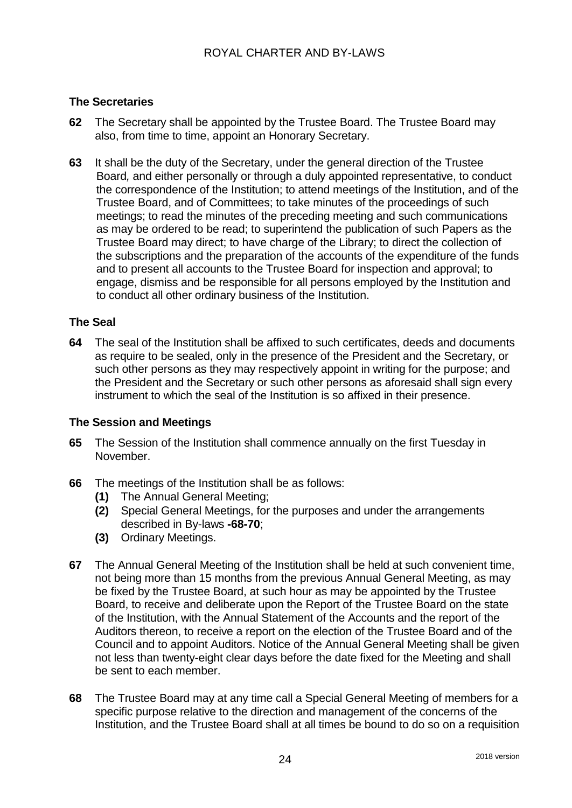# **The Secretaries**

- **62** The Secretary shall be appointed by the Trustee Board. The Trustee Board may also, from time to time, appoint an Honorary Secretary.
- **63** It shall be the duty of the Secretary, under the general direction of the Trustee Board*,* and either personally or through a duly appointed representative, to conduct the correspondence of the Institution; to attend meetings of the Institution, and of the Trustee Board, and of Committees; to take minutes of the proceedings of such meetings; to read the minutes of the preceding meeting and such communications as may be ordered to be read; to superintend the publication of such Papers as the Trustee Board may direct; to have charge of the Library; to direct the collection of the subscriptions and the preparation of the accounts of the expenditure of the funds and to present all accounts to the Trustee Board for inspection and approval; to engage, dismiss and be responsible for all persons employed by the Institution and to conduct all other ordinary business of the Institution.

### **The Seal**

**64** The seal of the Institution shall be affixed to such certificates, deeds and documents as require to be sealed, only in the presence of the President and the Secretary, or such other persons as they may respectively appoint in writing for the purpose; and the President and the Secretary or such other persons as aforesaid shall sign every instrument to which the seal of the Institution is so affixed in their presence.

#### **The Session and Meetings**

- **65** The Session of the Institution shall commence annually on the first Tuesday in November.
- **66** The meetings of the Institution shall be as follows:
	- **(1)** The Annual General Meeting;
	- **(2)** Special General Meetings, for the purposes and under the arrangements described in By-laws **-68-70**;
	- **(3)** Ordinary Meetings.
- **67** The Annual General Meeting of the Institution shall be held at such convenient time, not being more than 15 months from the previous Annual General Meeting, as may be fixed by the Trustee Board, at such hour as may be appointed by the Trustee Board, to receive and deliberate upon the Report of the Trustee Board on the state of the Institution, with the Annual Statement of the Accounts and the report of the Auditors thereon, to receive a report on the election of the Trustee Board and of the Council and to appoint Auditors. Notice of the Annual General Meeting shall be given not less than twenty-eight clear days before the date fixed for the Meeting and shall be sent to each member.
- **68** The Trustee Board may at any time call a Special General Meeting of members for a specific purpose relative to the direction and management of the concerns of the Institution, and the Trustee Board shall at all times be bound to do so on a requisition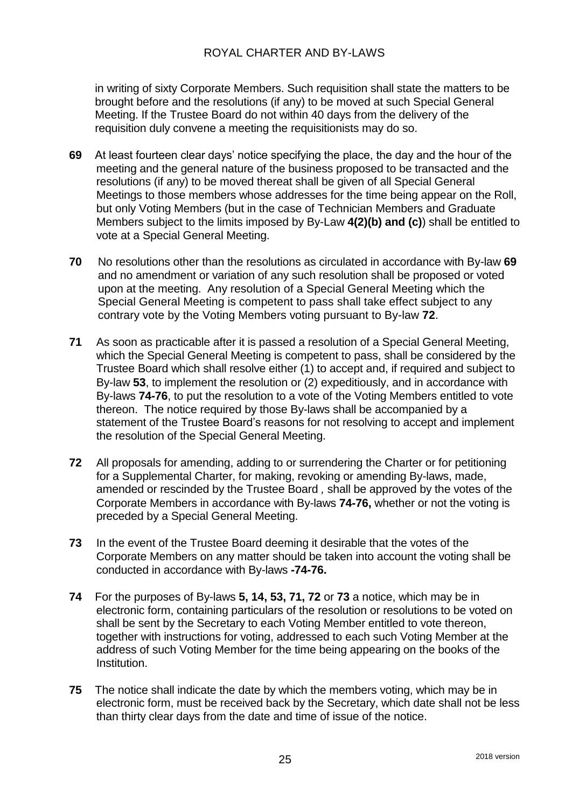in writing of sixty Corporate Members. Such requisition shall state the matters to be brought before and the resolutions (if any) to be moved at such Special General Meeting. If the Trustee Board do not within 40 days from the delivery of the requisition duly convene a meeting the requisitionists may do so.

- **69** At least fourteen clear days' notice specifying the place, the day and the hour of the meeting and the general nature of the business proposed to be transacted and the resolutions (if any) to be moved thereat shall be given of all Special General Meetings to those members whose addresses for the time being appear on the Roll, but only Voting Members (but in the case of Technician Members and Graduate Members subject to the limits imposed by By-Law **4(2)(b) and (c)**) shall be entitled to vote at a Special General Meeting.
- **70** No resolutions other than the resolutions as circulated in accordance with By-law **69** and no amendment or variation of any such resolution shall be proposed or voted upon at the meeting. Any resolution of a Special General Meeting which the Special General Meeting is competent to pass shall take effect subject to any contrary vote by the Voting Members voting pursuant to By-law **72**.
- **71** As soon as practicable after it is passed a resolution of a Special General Meeting, which the Special General Meeting is competent to pass, shall be considered by the Trustee Board which shall resolve either (1) to accept and, if required and subject to By-law **53**, to implement the resolution or (2) expeditiously, and in accordance with By-laws **74-76**, to put the resolution to a vote of the Voting Members entitled to vote thereon. The notice required by those By-laws shall be accompanied by a statement of the Trustee Board's reasons for not resolving to accept and implement the resolution of the Special General Meeting.
- **72** All proposals for amending, adding to or surrendering the Charter or for petitioning for a Supplemental Charter, for making, revoking or amending By-laws, made, amended or rescinded by the Trustee Board *,* shall be approved by the votes of the Corporate Members in accordance with By-laws **74-76,** whether or not the voting is preceded by a Special General Meeting.
- **73** In the event of the Trustee Board deeming it desirable that the votes of the Corporate Members on any matter should be taken into account the voting shall be conducted in accordance with By-laws **-74-76.**
- **74** For the purposes of By-laws **5, 14, 53, 71, 72** or **73** a notice, which may be in electronic form, containing particulars of the resolution or resolutions to be voted on shall be sent by the Secretary to each Voting Member entitled to vote thereon, together with instructions for voting, addressed to each such Voting Member at the address of such Voting Member for the time being appearing on the books of the Institution.
- **75** The notice shall indicate the date by which the members voting, which may be in electronic form, must be received back by the Secretary, which date shall not be less than thirty clear days from the date and time of issue of the notice.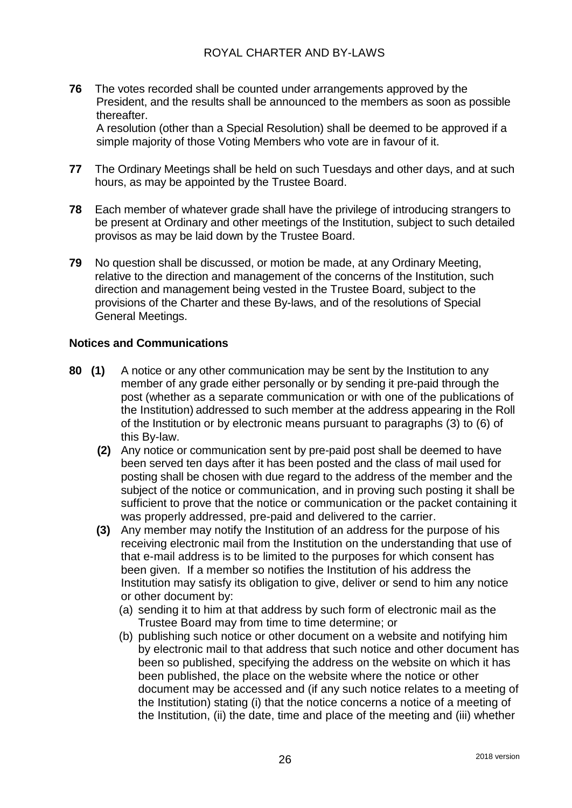**76** The votes recorded shall be counted under arrangements approved by the President, and the results shall be announced to the members as soon as possible thereafter.

A resolution (other than a Special Resolution) shall be deemed to be approved if a simple majority of those Voting Members who vote are in favour of it.

- **77** The Ordinary Meetings shall be held on such Tuesdays and other days, and at such hours, as may be appointed by the Trustee Board.
- **78** Each member of whatever grade shall have the privilege of introducing strangers to be present at Ordinary and other meetings of the Institution, subject to such detailed provisos as may be laid down by the Trustee Board.
- **79** No question shall be discussed, or motion be made, at any Ordinary Meeting, relative to the direction and management of the concerns of the Institution, such direction and management being vested in the Trustee Board, subject to the provisions of the Charter and these By-laws, and of the resolutions of Special General Meetings.

#### **Notices and Communications**

- **80 (1)** A notice or any other communication may be sent by the Institution to any member of any grade either personally or by sending it pre-paid through the post (whether as a separate communication or with one of the publications of the Institution) addressed to such member at the address appearing in the Roll of the Institution or by electronic means pursuant to paragraphs (3) to (6) of this By-law.
	- **(2)** Any notice or communication sent by pre-paid post shall be deemed to have been served ten days after it has been posted and the class of mail used for posting shall be chosen with due regard to the address of the member and the subject of the notice or communication, and in proving such posting it shall be sufficient to prove that the notice or communication or the packet containing it was properly addressed, pre-paid and delivered to the carrier.
	- **(3)** Any member may notify the Institution of an address for the purpose of his receiving electronic mail from the Institution on the understanding that use of that e-mail address is to be limited to the purposes for which consent has been given. If a member so notifies the Institution of his address the Institution may satisfy its obligation to give, deliver or send to him any notice or other document by:
		- (a) sending it to him at that address by such form of electronic mail as the Trustee Board may from time to time determine; or
		- (b) publishing such notice or other document on a website and notifying him by electronic mail to that address that such notice and other document has been so published, specifying the address on the website on which it has been published, the place on the website where the notice or other document may be accessed and (if any such notice relates to a meeting of the Institution) stating (i) that the notice concerns a notice of a meeting of the Institution, (ii) the date, time and place of the meeting and (iii) whether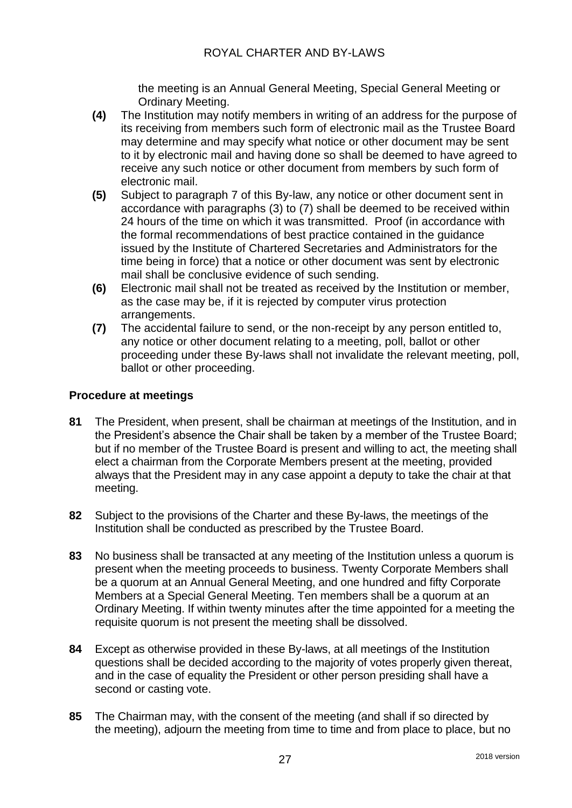the meeting is an Annual General Meeting, Special General Meeting or Ordinary Meeting.

- **(4)** The Institution may notify members in writing of an address for the purpose of its receiving from members such form of electronic mail as the Trustee Board may determine and may specify what notice or other document may be sent to it by electronic mail and having done so shall be deemed to have agreed to receive any such notice or other document from members by such form of electronic mail.
- **(5)** Subject to paragraph 7 of this By-law, any notice or other document sent in accordance with paragraphs (3) to (7) shall be deemed to be received within 24 hours of the time on which it was transmitted. Proof (in accordance with the formal recommendations of best practice contained in the guidance issued by the Institute of Chartered Secretaries and Administrators for the time being in force) that a notice or other document was sent by electronic mail shall be conclusive evidence of such sending.
- **(6)** Electronic mail shall not be treated as received by the Institution or member, as the case may be, if it is rejected by computer virus protection arrangements.
- **(7)** The accidental failure to send, or the non-receipt by any person entitled to, any notice or other document relating to a meeting, poll, ballot or other proceeding under these By-laws shall not invalidate the relevant meeting, poll, ballot or other proceeding.

#### **Procedure at meetings**

- **81** The President, when present, shall be chairman at meetings of the Institution, and in the President's absence the Chair shall be taken by a member of the Trustee Board; but if no member of the Trustee Board is present and willing to act, the meeting shall elect a chairman from the Corporate Members present at the meeting, provided always that the President may in any case appoint a deputy to take the chair at that meeting.
- **82** Subject to the provisions of the Charter and these By-laws, the meetings of the Institution shall be conducted as prescribed by the Trustee Board.
- **83** No business shall be transacted at any meeting of the Institution unless a quorum is present when the meeting proceeds to business. Twenty Corporate Members shall be a quorum at an Annual General Meeting, and one hundred and fifty Corporate Members at a Special General Meeting. Ten members shall be a quorum at an Ordinary Meeting. If within twenty minutes after the time appointed for a meeting the requisite quorum is not present the meeting shall be dissolved.
- **84** Except as otherwise provided in these By-laws, at all meetings of the Institution questions shall be decided according to the majority of votes properly given thereat, and in the case of equality the President or other person presiding shall have a second or casting vote.
- **85** The Chairman may, with the consent of the meeting (and shall if so directed by the meeting), adjourn the meeting from time to time and from place to place, but no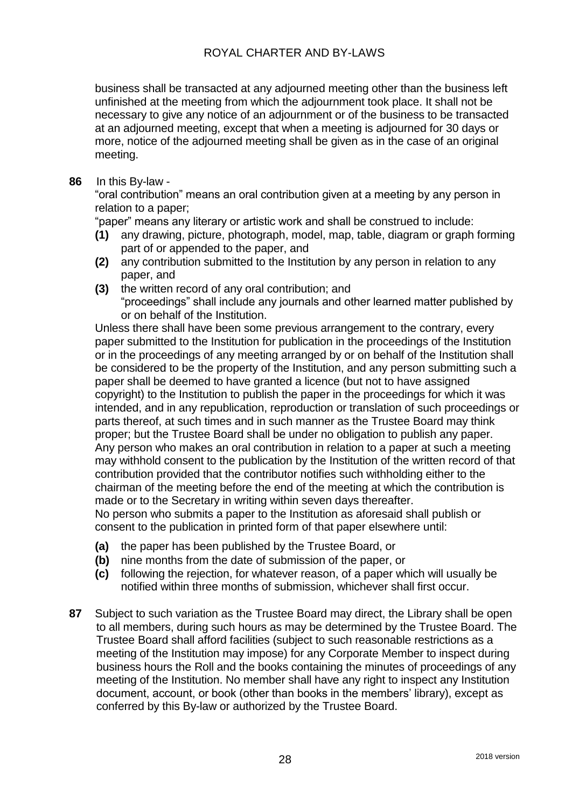business shall be transacted at any adjourned meeting other than the business left unfinished at the meeting from which the adjournment took place. It shall not be necessary to give any notice of an adjournment or of the business to be transacted at an adjourned meeting, except that when a meeting is adjourned for 30 days or more, notice of the adjourned meeting shall be given as in the case of an original meeting.

#### **86** In this By-law -

"oral contribution" means an oral contribution given at a meeting by any person in relation to a paper;

"paper" means any literary or artistic work and shall be construed to include:

- **(1)** any drawing, picture, photograph, model, map, table, diagram or graph forming part of or appended to the paper, and
- **(2)** any contribution submitted to the Institution by any person in relation to any paper, and
- **(3)** the written record of any oral contribution; and "proceedings" shall include any journals and other learned matter published by or on behalf of the Institution.

Unless there shall have been some previous arrangement to the contrary, every paper submitted to the Institution for publication in the proceedings of the Institution or in the proceedings of any meeting arranged by or on behalf of the Institution shall be considered to be the property of the Institution, and any person submitting such a paper shall be deemed to have granted a licence (but not to have assigned copyright) to the Institution to publish the paper in the proceedings for which it was intended, and in any republication, reproduction or translation of such proceedings or parts thereof, at such times and in such manner as the Trustee Board may think proper; but the Trustee Board shall be under no obligation to publish any paper. Any person who makes an oral contribution in relation to a paper at such a meeting may withhold consent to the publication by the Institution of the written record of that contribution provided that the contributor notifies such withholding either to the chairman of the meeting before the end of the meeting at which the contribution is made or to the Secretary in writing within seven days thereafter.

No person who submits a paper to the Institution as aforesaid shall publish or consent to the publication in printed form of that paper elsewhere until:

- **(a)** the paper has been published by the Trustee Board, or
- **(b)** nine months from the date of submission of the paper, or
- **(c)** following the rejection, for whatever reason, of a paper which will usually be notified within three months of submission, whichever shall first occur.
- **87** Subject to such variation as the Trustee Board may direct, the Library shall be open to all members, during such hours as may be determined by the Trustee Board. The Trustee Board shall afford facilities (subject to such reasonable restrictions as a meeting of the Institution may impose) for any Corporate Member to inspect during business hours the Roll and the books containing the minutes of proceedings of any meeting of the Institution. No member shall have any right to inspect any Institution document, account, or book (other than books in the members' library), except as conferred by this By-law or authorized by the Trustee Board.